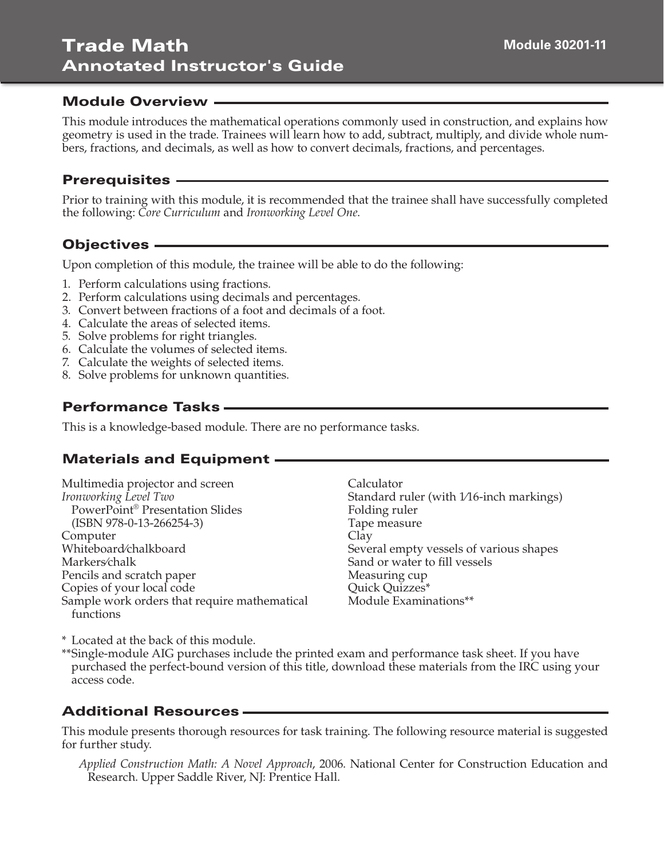#### Module Overview

This module introduces the mathematical operations commonly used in construction, and explains how geometry is used in the trade. Trainees will learn how to add, subtract, multiply, and divide whole numbers, fractions, and decimals, as well as how to convert decimals, fractions, and percentages.

#### Prerequisites

Prior to training with this module, it is recommended that the trainee shall have successfully completed the following: *Core Curriculum* and *Ironworking Level One*.

### Objectives

Upon completion of this module, the trainee will be able to do the following:

- 1. Perform calculations using fractions.
- 2. Perform calculations using decimals and percentages.
- 3. Convert between fractions of a foot and decimals of a foot.
- 4. Calculate the areas of selected items.
- 5. Solve problems for right triangles.
- 6. Calculate the volumes of selected items.
- 7. Calculate the weights of selected items.
- 8. Solve problems for unknown quantities.

## Performance Tasks

This is a knowledge-based module. There are no performance tasks.

# Materials and Equipment

Multimedia projector and screen *Ironworking Level Two* PowerPoint® Presentation Slides (ISBN 978-0-13-266254-3) Computer Whiteboard⁄chalkboard Markers⁄chalk Pencils and scratch paper Copies of your local code Sample work orders that require mathematical functions

Calculator Standard ruler (with 1/16-inch markings) Folding ruler Tape measure Clay Several empty vessels of various shapes Sand or water to fill vessels Measuring cup Quick Quizzes\* Module Examinations\*\*

\* Located at the back of this module.

\*\*Single-module AIG purchases include the printed exam and performance task sheet. If you have purchased the perfect-bound version of this title, download these materials from the IRC using your access code.

## Additional Resources

This module presents thorough resources for task training. The following resource material is suggested for further study.

 *Applied Construction Math: A Novel Approach*, 2006. National Center for Construction Education and Research. Upper Saddle River, NJ: Prentice Hall.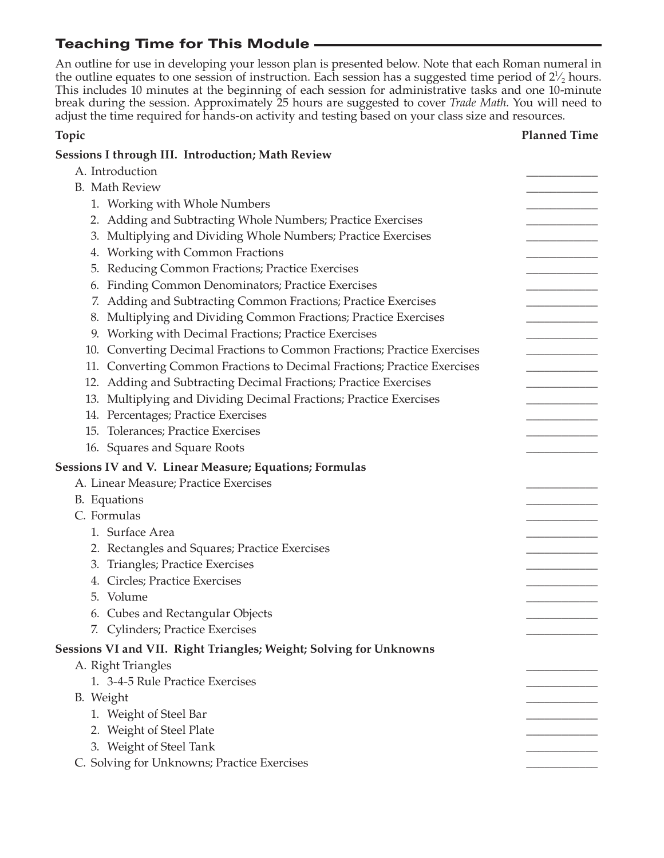# Teaching Time for This Module

An outline for use in developing your lesson plan is presented below. Note that each Roman numeral in the outline equates to one session of instruction. Each session has a suggested time period of  $2\frac{1}{2}$  hours. This includes 10 minutes at the beginning of each session for administrative tasks and one 10-minute break during the session. Approximately 25 hours are suggested to cover *Trade Math*. You will need to adjust the time required for hands-on activity and testing based on your class size and resources.

### **Topic Planned Time Sessions I through III. Introduction; Math Review** A. Introduction B. Math Review 1. Working with Whole Numbers 2. Adding and Subtracting Whole Numbers; Practice Exercises 3. Multiplying and Dividing Whole Numbers; Practice Exercises 4. Working with Common Fractions 5. Reducing Common Fractions; Practice Exercises 6. Finding Common Denominators; Practice Exercises 7. Adding and Subtracting Common Fractions; Practice Exercises 8. Multiplying and Dividing Common Fractions; Practice Exercises 9. Working with Decimal Fractions; Practice Exercises 10. Converting Decimal Fractions to Common Fractions; Practice Exercises 11. Converting Common Fractions to Decimal Fractions; Practice Exercises 12. Adding and Subtracting Decimal Fractions; Practice Exercises 13. Multiplying and Dividing Decimal Fractions; Practice Exercises 14. Percentages; Practice Exercises 15. Tolerances; Practice Exercises 16. Squares and Square Roots **Sessions IV and V. Linear Measure; Equations; Formulas** A. Linear Measure; Practice Exercises B. Equations C. Formulas 1. Surface Area 2. Rectangles and Squares; Practice Exercises 3. Triangles; Practice Exercises 4. Circles; Practice Exercises 5. Volume \_\_\_\_\_\_\_\_\_\_\_\_ 6. Cubes and Rectangular Objects 7. Cylinders; Practice Exercises **Sessions VI and VII. Right Triangles; Weight; Solving for Unknowns** A. Right Triangles 1. 3-4-5 Rule Practice Exercises B. Weight \_\_\_\_\_\_\_\_\_\_\_\_ 1. Weight of Steel Bar 2. Weight of Steel Plate 3. Weight of Steel Tank C. Solving for Unknowns; Practice Exercises